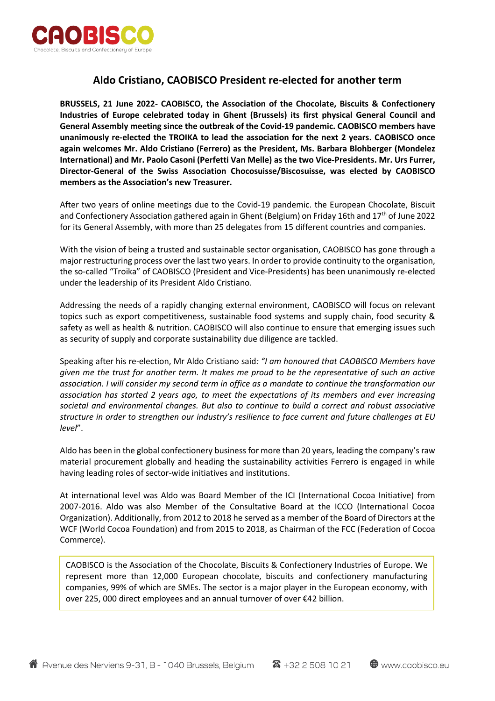

## **Aldo Cristiano, CAOBISCO President re-elected for another term**

**BRUSSELS, 21 June 2022- CAOBISCO, the Association of the Chocolate, Biscuits & Confectionery Industries of Europe celebrated today in Ghent (Brussels) its first physical General Council and General Assembly meeting since the outbreak of the Covid-19 pandemic. CAOBISCO members have unanimously re-elected the TROIKA to lead the association for the next 2 years. CAOBISCO once again welcomes Mr. Aldo Cristiano (Ferrero) as the President, Ms. Barbara Blohberger (Mondelez International) and Mr. Paolo Casoni (Perfetti Van Melle) as the two Vice-Presidents. Mr. Urs Furrer, Director-General of the Swiss Association Chocosuisse/Biscosuisse, was elected by CAOBISCO members as the Association's new Treasurer.**

After two years of online meetings due to the Covid-19 pandemic. the European Chocolate, Biscuit and Confectionery Association gathered again in Ghent (Belgium) on Friday 16th and 17<sup>th</sup> of June 2022 for its General Assembly, with more than 25 delegates from 15 different countries and companies.

With the vision of being a trusted and sustainable sector organisation, CAOBISCO has gone through a major restructuring process over the last two years. In order to provide continuity to the organisation, the so-called "Troika" of CAOBISCO (President and Vice-Presidents) has been unanimously re-elected under the leadership of its President Aldo Cristiano.

Addressing the needs of a rapidly changing external environment, CAOBISCO will focus on relevant topics such as export competitiveness, sustainable food systems and supply chain, food security & safety as well as health & nutrition. CAOBISCO will also continue to ensure that emerging issues such as security of supply and corporate sustainability due diligence are tackled.

Speaking after his re-election, Mr Aldo Cristiano said*: "I am honoured that CAOBISCO Members have given me the trust for another term. It makes me proud to be the representative of such an active association. I will consider my second term in office as a mandate to continue the transformation our association has started 2 years ago, to meet the expectations of its members and ever increasing societal and environmental changes. But also to continue to build a correct and robust associative structure in order to strengthen our industry's resilience to face current and future challenges at EU level*".

Aldo has been in the global confectionery business for more than 20 years, leading the company's raw material procurement globally and heading the sustainability activities Ferrero is engaged in while having leading roles of sector-wide initiatives and institutions.

At international level was Aldo was Board Member of the ICI (International Cocoa Initiative) from 2007-2016. Aldo was also Member of the Consultative Board at the ICCO (International Cocoa Organization). Additionally, from 2012 to 2018 he served as a member of the Board of Directors at the WCF (World Cocoa Foundation) and from 2015 to 2018, as Chairman of the FCC (Federation of Cocoa Commerce).

CAOBISCO is the Association of the Chocolate, Biscuits & Confectionery Industries of Europe. We represent more than 12,000 European chocolate, biscuits and confectionery manufacturing companies, 99% of which are SMEs. The sector is a major player in the European economy, with over 225, 000 direct employees and an annual turnover of over €42 billion.